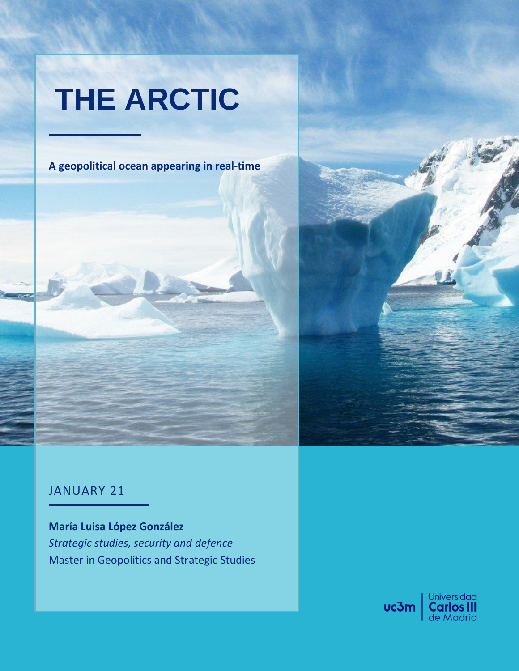# **THE ARCTIC**

**A geopolitical ocean appearing in real-time**

# JANUARY 21

**María Luisa López González** *Strategic studies, security and defence* Master in Geopolitics and Strategic Studies

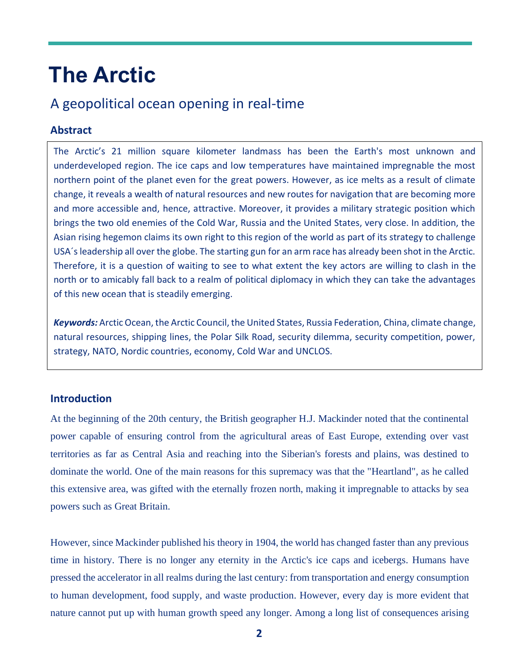# **The Arctic**

# A geopolitical ocean opening in real-time

#### **Abstract**

The Arctic's 21 million square kilometer landmass has been the Earth's most unknown and underdeveloped region. The ice caps and low temperatures have maintained impregnable the most northern point of the planet even for the great powers. However, as ice melts as a result of climate change, it reveals a wealth of natural resources and new routes for navigation that are becoming more and more accessible and, hence, attractive. Moreover, it provides a military strategic position which brings the two old enemies of the Cold War, Russia and the United States, very close. In addition, the Asian rising hegemon claims its own right to this region of the world as part of its strategy to challenge USA´s leadership all over the globe. The starting gun for an arm race has already been shot in the Arctic. Therefore, it is a question of waiting to see to what extent the key actors are willing to clash in the north or to amicably fall back to a realm of political diplomacy in which they can take the advantages of this new ocean that is steadily emerging.

*Keywords:* Arctic Ocean, the Arctic Council, the United States, Russia Federation, China, climate change, natural resources, shipping lines, the Polar Silk Road, security dilemma, security competition, power, strategy, NATO, Nordic countries, economy, Cold War and UNCLOS.

## **Introduction**

At the beginning of the 20th century, the British geographer H.J. Mackinder noted that the continental power capable of ensuring control from the agricultural areas of East Europe, extending over vast territories as far as Central Asia and reaching into the Siberian's forests and plains, was destined to dominate the world. One of the main reasons for this supremacy was that the "Heartland", as he called this extensive area, was gifted with the eternally frozen north, making it impregnable to attacks by sea powers such as Great Britain.

However, since Mackinder published his theory in 1904, the world has changed faster than any previous time in history. There is no longer any eternity in the Arctic's ice caps and icebergs. Humans have pressed the accelerator in all realms during the last century: from transportation and energy consumption to human development, food supply, and waste production. However, every day is more evident that nature cannot put up with human growth speed any longer. Among a long list of consequences arising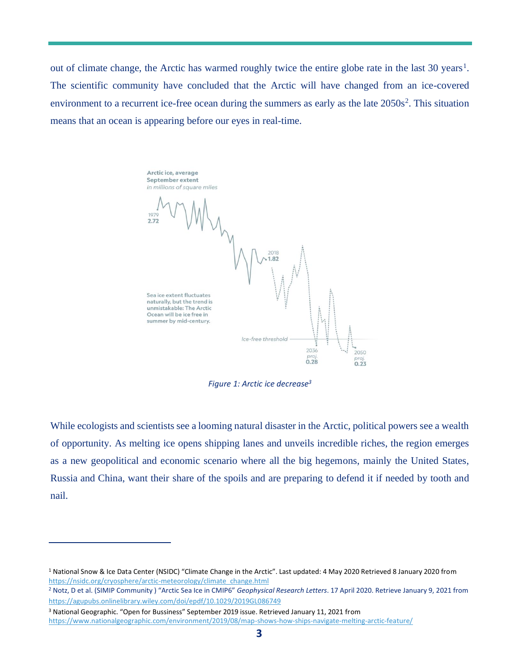out of climate change, the Arctic has warmed roughly twice the entire globe rate in the last 30 years<sup>1</sup>. The scientific community have concluded that the Arctic will have changed from an ice-covered environment to a recurrent ice-free ocean during the summers as early as the late 2050s<sup>2</sup>. This situation means that an ocean is appearing before our eyes in real-time.

Arctic ice, average September extent in millions of square miles 1.82 Sea ice extent fluctuates naturally, but the trend is unmistakable: The Arctic Ocean will be ice free in summer by mid-century. Ice-free threshold 2036 2050  $rac{proj.}{0.23}$  $0.28$ 

*Figure 1: Arctic ice decrease<sup>3</sup>*

While ecologists and scientists see a looming natural disaster in the Arctic, political powers see a wealth of opportunity. As melting ice opens shipping lanes and unveils incredible riches, the region emerges as a new geopolitical and economic scenario where all the big hegemons, mainly the United States, Russia and China, want their share of the spoils and are preparing to defend it if needed by tooth and nail.

<sup>1</sup> National Snow & Ice Data Center (NSIDC) "Climate Change in the Arctic". Last updated: 4 May 2020 Retrieved 8 January 2020 from [https://nsidc.org/cryosphere/arctic-meteorology/climate\\_change.html](https://nsidc.org/cryosphere/arctic-meteorology/climate_change.html)

<sup>2</sup> Notz, D et al. (SIMIP Community ) "Arctic Sea Ice in CMIP6" *Geophysical Research Letters*. 17 April 2020. Retrieve January 9, 2021 from <https://agupubs.onlinelibrary.wiley.com/doi/epdf/10.1029/2019GL086749>

<sup>3</sup> National Geographic. "Open for Bussiness" September 2019 issue. Retrieved January 11, 2021 from <https://www.nationalgeographic.com/environment/2019/08/map-shows-how-ships-navigate-melting-arctic-feature/>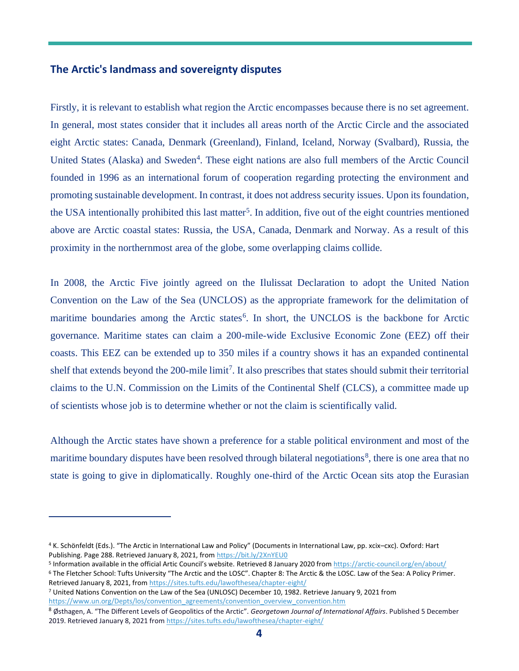#### **The Arctic's landmass and sovereignty disputes**

Firstly, it is relevant to establish what region the Arctic encompasses because there is no set agreement. In general, most states consider that it includes all areas north of the Arctic Circle and the associated eight Arctic states: Canada, Denmark (Greenland), Finland, Iceland, Norway (Svalbard), Russia, the United States (Alaska) and Sweden<sup>4</sup>. These eight nations are also full members of the Arctic Council founded in 1996 as an international forum of cooperation regarding protecting the environment and promoting sustainable development. In contrast, it does not address security issues. Upon its foundation, the USA intentionally prohibited this last matter<sup>5</sup>. In addition, five out of the eight countries mentioned above are Arctic coastal states: Russia, the USA, Canada, Denmark and Norway. As a result of this proximity in the northernmost area of the globe, some overlapping claims collide.

In 2008, the Arctic Five jointly agreed on the Ilulissat Declaration to adopt the United Nation Convention on the Law of the Sea (UNCLOS) as the appropriate framework for the delimitation of maritime boundaries among the Arctic states<sup>6</sup>. In short, the UNCLOS is the backbone for Arctic governance. Maritime states can claim a 200-mile-wide Exclusive Economic Zone (EEZ) off their coasts. This EEZ can be extended up to 350 miles if a country shows it has an expanded continental shelf that extends beyond the 200-mile limit<sup>7</sup>. It also prescribes that states should submit their territorial claims to the U.N. Commission on the Limits of the Continental Shelf (CLCS), a committee made up of scientists whose job is to determine whether or not the claim is scientifically valid.

Although the Arctic states have shown a preference for a stable political environment and most of the maritime boundary disputes have been resolved through bilateral negotiations<sup>8</sup>, there is one area that no state is going to give in diplomatically. Roughly one-third of the Arctic Ocean sits atop the Eurasian

<sup>4</sup> K. Schönfeldt (Eds.). "The Arctic in International Law and Policy" (Documents in International Law, pp. xcix–cxc). Oxford: Hart Publishing. Page 288. Retrieved January 8, 2021, from<https://bit.ly/2XnYEU0>

<sup>&</sup>lt;sup>5</sup> Information available in the official Artic Council's website. Retrieved 8 January 2020 from<https://arctic-council.org/en/about/>

<sup>6</sup> The Fletcher School: Tufts University "The Arctic and the LOSC". Chapter 8: The Arctic & the LOSC. Law of the Sea: A Policy Primer. Retrieved January 8, 2021, fro[m https://sites.tufts.edu/lawofthesea/chapter-eight/](https://sites.tufts.edu/lawofthesea/chapter-eight/)

<sup>7</sup> United Nations Convention on the Law of the Sea (UNLOSC) December 10, 1982. Retrieve January 9, 2021 from [https://www.un.org/Depts/los/convention\\_agreements/convention\\_overview\\_convention.htm](https://www.un.org/Depts/los/convention_agreements/convention_overview_convention.htm)

<sup>8</sup> Østhagen, A. "The Different Levels of Geopolitics of the Arctic". *Georgetown Journal of International Affairs*. Published 5 December 2019. Retrieved January 8, 2021 fro[m https://sites.tufts.edu/lawofthesea/chapter-eight/](https://sites.tufts.edu/lawofthesea/chapter-eight/)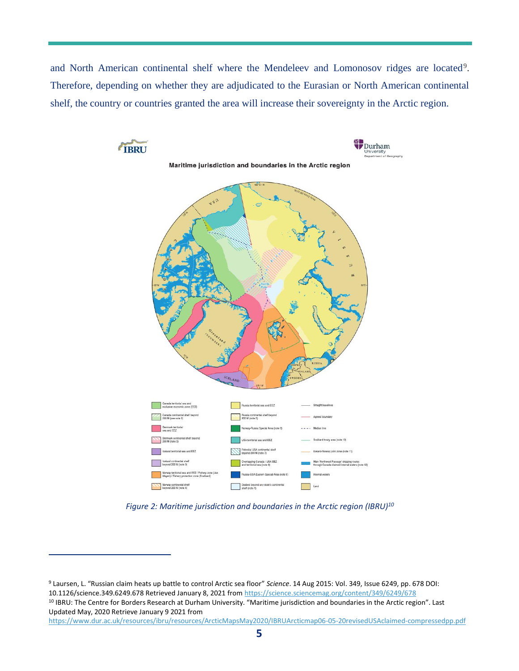and North American continental shelf where the Mendeleev and Lomonosov ridges are located<sup>9</sup>. Therefore, depending on whether they are adjudicated to the Eurasian or North American continental shelf, the country or countries granted the area will increase their sovereignty in the Arctic region.



*Figure 2: Maritime jurisdiction and boundaries in the Arctic region (IBRU)<sup>10</sup>*

<sup>9</sup> Laursen, L. "Russian claim heats up battle to control Arctic sea floor" *Science*. 14 Aug 2015: Vol. 349, Issue 6249, pp. 678 DOI: 10.1126/science.349.6249.678 Retrieved January 8, 2021 fro[m https://science.sciencemag.org/content/349/6249/678](https://science.sciencemag.org/content/349/6249/678) <sup>10</sup> IBRU: The Centre for Borders Research at Durham University. "Maritime jurisdiction and boundaries in the Arctic region". Last Updated May, 2020 Retrieve January 9 2021 from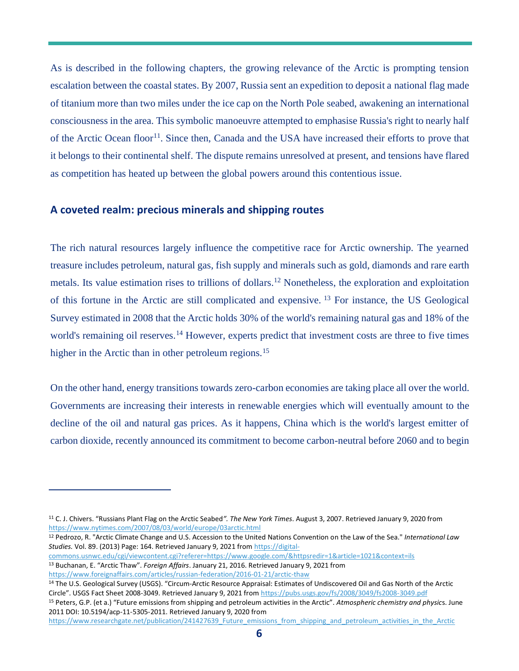As is described in the following chapters, the growing relevance of the Arctic is prompting tension escalation between the coastal states. By 2007, Russia sent an expedition to deposit a national flag made of titanium more than two miles under the ice cap on the North Pole seabed, awakening an international consciousness in the area. This symbolic manoeuvre attempted to emphasise Russia's right to nearly half of the Arctic Ocean floor<sup>11</sup>. Since then, Canada and the USA have increased their efforts to prove that it belongs to their continental shelf. The dispute remains unresolved at present, and tensions have flared as competition has heated up between the global powers around this contentious issue.

#### **A coveted realm: precious minerals and shipping routes**

The rich natural resources largely influence the competitive race for Arctic ownership. The yearned treasure includes petroleum, natural gas, fish supply and minerals such as gold, diamonds and rare earth metals. Its value estimation rises to trillions of dollars.<sup>12</sup> Nonetheless, the exploration and exploitation of this fortune in the Arctic are still complicated and expensive. <sup>13</sup> For instance, the US Geological Survey estimated in 2008 that the Arctic holds 30% of the world's remaining natural gas and 18% of the world's remaining oil reserves.<sup>14</sup> However, experts predict that investment costs are three to five times higher in the Arctic than in other petroleum regions.<sup>15</sup>

On the other hand, energy transitions towards zero-carbon economies are taking place all over the world. Governments are increasing their interests in renewable energies which will eventually amount to the decline of the oil and natural gas prices. As it happens, China which is the world's largest emitter of carbon dioxide, recently announced its commitment to become carbon-neutral before 2060 and to begin

<sup>12</sup> Pedrozo, R. "Arctic Climate Change and U.S. Accession to the United Nations Convention on the Law of the Sea." *International Law Studies.* Vol. 89. (2013) Page: 164. Retrieved January 9, 2021 from [https://digital-](https://digital-commons.usnwc.edu/cgi/viewcontent.cgi?referer=https://www.google.com/&httpsredir=1&article=1021&context=ils)

[commons.usnwc.edu/cgi/viewcontent.cgi?referer=https://www.google.com/&httpsredir=1&article=1021&context=ils](https://digital-commons.usnwc.edu/cgi/viewcontent.cgi?referer=https://www.google.com/&httpsredir=1&article=1021&context=ils)

<sup>15</sup> Peters, G.P. (et a.) "Future emissions from shipping and petroleum activities in the Arctic". *Atmospheric chemistry and physic*s. June 2011 DOI: 10.5194/acp-11-5305-2011. Retrieved January 9, 2020 from

[https://www.researchgate.net/publication/241427639\\_Future\\_emissions\\_from\\_shipping\\_and\\_petroleum\\_activities\\_in\\_the\\_Arctic](https://www.researchgate.net/publication/241427639_Future_emissions_from_shipping_and_petroleum_activities_in_the_Arctic)

<sup>11</sup> C. J. Chivers. "Russians Plant Flag on the Arctic Seabed*". The New York Times*. August 3, 2007. Retrieved January 9, 2020 from <https://www.nytimes.com/2007/08/03/world/europe/03arctic.html>

<sup>13</sup> Buchanan, E. "Arctic Thaw". *Foreign Affairs*. January 21, 2016. Retrieved January 9, 2021 from <https://www.foreignaffairs.com/articles/russian-federation/2016-01-21/arctic-thaw>

<sup>14</sup> The U.S. Geological Survey (USGS). "Circum-Arctic Resource Appraisal: Estimates of Undiscovered Oil and Gas North of the Arctic Circle". USGS Fact Sheet 2008-3049. Retrieved January 9, 2021 from<https://pubs.usgs.gov/fs/2008/3049/fs2008-3049.pdf>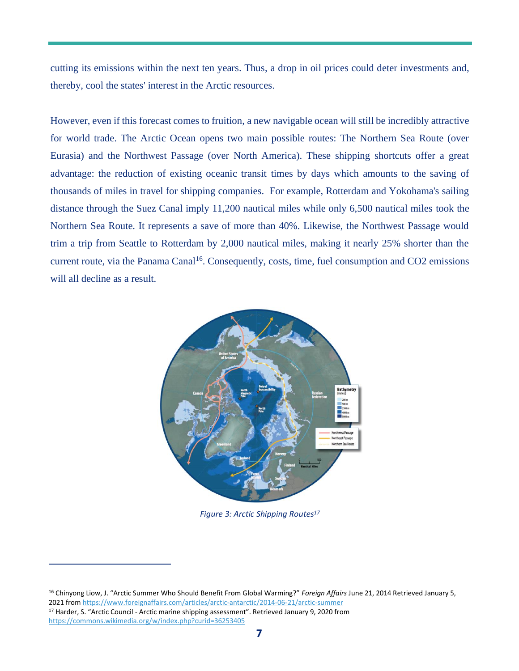cutting its emissions within the next ten years. Thus, a drop in oil prices could deter investments and, thereby, cool the states' interest in the Arctic resources.

However, even if this forecast comes to fruition, a new navigable ocean will still be incredibly attractive for world trade. The Arctic Ocean opens two main possible routes: The Northern Sea Route (over Eurasia) and the Northwest Passage (over North America). These shipping shortcuts offer a great advantage: the reduction of existing oceanic transit times by days which amounts to the saving of thousands of miles in travel for shipping companies. For example, Rotterdam and Yokohama's sailing distance through the Suez Canal imply 11,200 nautical miles while only 6,500 nautical miles took the Northern Sea Route. It represents a save of more than 40%. Likewise, the Northwest Passage would trim a trip from Seattle to Rotterdam by 2,000 nautical miles, making it nearly 25% shorter than the current route, via the Panama Canal<sup>16</sup>. Consequently, costs, time, fuel consumption and CO2 emissions will all decline as a result.



*Figure 3: Arctic Shipping Routes<sup>17</sup>*

<sup>16</sup> Chinyong Liow, J. "Arctic Summer Who Should Benefit From Global Warming?" *Foreign Affairs* June 21, 2014 Retrieved January 5, 2021 fro[m https://www.foreignaffairs.com/articles/arctic-antarctic/2014-06-21/arctic-summer](https://www.foreignaffairs.com/articles/arctic-antarctic/2014-06-21/arctic-summer) <sup>17</sup> Harder, S. "Arctic Council - Arctic marine shipping assessment". Retrieved January 9, 2020 from <https://commons.wikimedia.org/w/index.php?curid=36253405>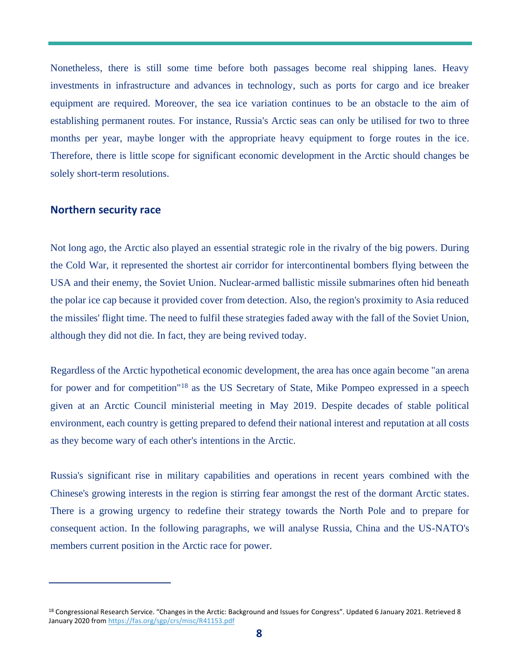Nonetheless, there is still some time before both passages become real shipping lanes. Heavy investments in infrastructure and advances in technology, such as ports for cargo and ice breaker equipment are required. Moreover, the sea ice variation continues to be an obstacle to the aim of establishing permanent routes. For instance, Russia's Arctic seas can only be utilised for two to three months per year, maybe longer with the appropriate heavy equipment to forge routes in the ice. Therefore, there is little scope for significant economic development in the Arctic should changes be solely short-term resolutions.

#### **Northern security race**

Not long ago, the Arctic also played an essential strategic role in the rivalry of the big powers. During the Cold War, it represented the shortest air corridor for intercontinental bombers flying between the USA and their enemy, the Soviet Union. Nuclear-armed ballistic missile submarines often hid beneath the polar ice cap because it provided cover from detection. Also, the region's proximity to Asia reduced the missiles' flight time. The need to fulfil these strategies faded away with the fall of the Soviet Union, although they did not die. In fact, they are being revived today.

Regardless of the Arctic hypothetical economic development, the area has once again become "an arena for power and for competition"<sup>18</sup> as the US Secretary of State, Mike Pompeo expressed in a speech given at an Arctic Council ministerial meeting in May 2019. Despite decades of stable political environment, each country is getting prepared to defend their national interest and reputation at all costs as they become wary of each other's intentions in the Arctic.

Russia's significant rise in military capabilities and operations in recent years combined with the Chinese's growing interests in the region is stirring fear amongst the rest of the dormant Arctic states. There is a growing urgency to redefine their strategy towards the North Pole and to prepare for consequent action. In the following paragraphs, we will analyse Russia, China and the US-NATO's members current position in the Arctic race for power.

<sup>18</sup> Congressional Research Service. "Changes in the Arctic: Background and Issues for Congress". Updated 6 January 2021. Retrieved 8 January 2020 from<https://fas.org/sgp/crs/misc/R41153.pdf>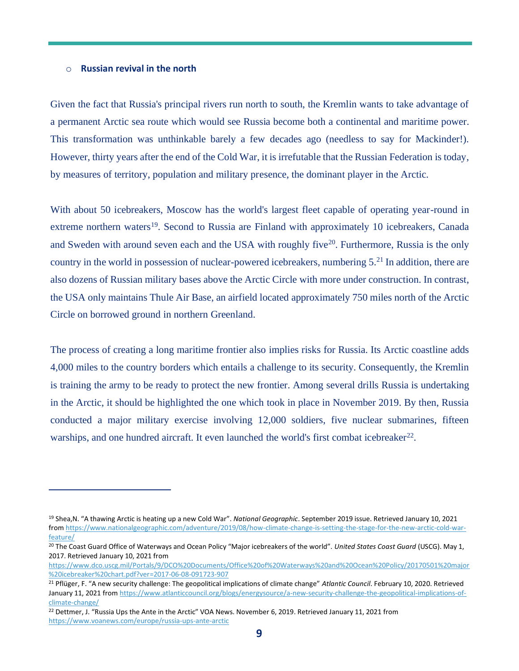#### o **Russian revival in the north**

Given the fact that Russia's principal rivers run north to south, the Kremlin wants to take advantage of a permanent Arctic sea route which would see Russia become both a continental and maritime power. This transformation was unthinkable barely a few decades ago (needless to say for Mackinder!). However, thirty years after the end of the Cold War, it is irrefutable that the Russian Federation is today, by measures of territory, population and military presence, the dominant player in the Arctic.

With about 50 icebreakers, Moscow has the world's largest fleet capable of operating year-round in extreme northern waters<sup>19</sup>. Second to Russia are Finland with approximately 10 icebreakers, Canada and Sweden with around seven each and the USA with roughly five<sup>20</sup>. Furthermore, Russia is the only country in the world in possession of nuclear-powered icebreakers, numbering  $5.^{21}$  In addition, there are also dozens of Russian military bases above the Arctic Circle with more under construction. In contrast, the USA only maintains Thule Air Base, an airfield located approximately 750 miles north of the Arctic Circle on borrowed ground in northern Greenland.

The process of creating a long maritime frontier also implies risks for Russia. Its Arctic coastline adds 4,000 miles to the country borders which entails a challenge to its security. Consequently, the Kremlin is training the army to be ready to protect the new frontier. Among several drills Russia is undertaking in the Arctic, it should be highlighted the one which took in place in November 2019. By then, Russia conducted a major military exercise involving 12,000 soldiers, five nuclear submarines, fifteen warships, and one hundred aircraft. It even launched the world's first combat icebreaker<sup>22</sup>.

<sup>19</sup> Shea,N. "A thawing Arctic is heating up a new Cold War". *National Geographic*. September 2019 issue. Retrieved January 10, 2021 fro[m https://www.nationalgeographic.com/adventure/2019/08/how-climate-change-is-setting-the-stage-for-the-new-arctic-cold-war](https://www.nationalgeographic.com/adventure/2019/08/how-climate-change-is-setting-the-stage-for-the-new-arctic-cold-war-feature/)[feature/](https://www.nationalgeographic.com/adventure/2019/08/how-climate-change-is-setting-the-stage-for-the-new-arctic-cold-war-feature/)

<sup>20</sup> The Coast Guard Office of Waterways and Ocean Policy "Major icebreakers of the world". *United States Coast Guard* (USCG). May 1, 2017. Retrieved January 10, 2021 from

[https://www.dco.uscg.mil/Portals/9/DCO%20Documents/Office%20of%20Waterways%20and%20Ocean%20Policy/20170501%20major](https://www.dco.uscg.mil/Portals/9/DCO%20Documents/Office%20of%20Waterways%20and%20Ocean%20Policy/20170501%20major%20icebreaker%20chart.pdf?ver=2017-06-08-091723-907) [%20icebreaker%20chart.pdf?ver=2017-06-08-091723-907](https://www.dco.uscg.mil/Portals/9/DCO%20Documents/Office%20of%20Waterways%20and%20Ocean%20Policy/20170501%20major%20icebreaker%20chart.pdf?ver=2017-06-08-091723-907)

<sup>21</sup> Pflüger, F. "A new security challenge: The geopolitical implications of climate change" *Atlantic Council*. February 10, 2020. Retrieved January 11, 2021 fro[m https://www.atlanticcouncil.org/blogs/energysource/a-new-security-challenge-the-geopolitical-implications-of](https://www.atlanticcouncil.org/blogs/energysource/a-new-security-challenge-the-geopolitical-implications-of-climate-change/)[climate-change/](https://www.atlanticcouncil.org/blogs/energysource/a-new-security-challenge-the-geopolitical-implications-of-climate-change/)

<sup>22</sup> Dettmer, J. "Russia Ups the Ante in the Arctic" VOA News. November 6, 2019. Retrieved January 11, 2021 from <https://www.voanews.com/europe/russia-ups-ante-arctic>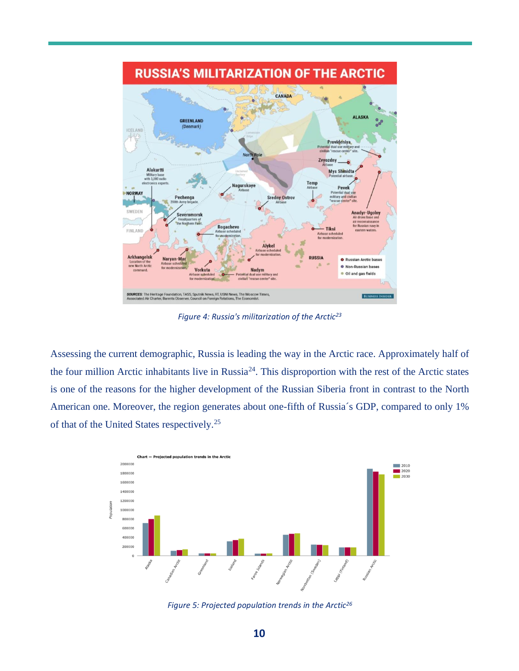

*Figure 4: Russia's militarization of the Arctic<sup>23</sup>*

Assessing the current demographic, Russia is leading the way in the Arctic race. Approximately half of the four million Arctic inhabitants live in Russia<sup>24</sup>. This disproportion with the rest of the Arctic states is one of the reasons for the higher development of the Russian Siberia front in contrast to the North American one. Moreover, the region generates about one-fifth of Russia´s GDP, compared to only 1% of that of the United States respectively.<sup>25</sup>



*Figure 5: Projected population trends in the Arctic26*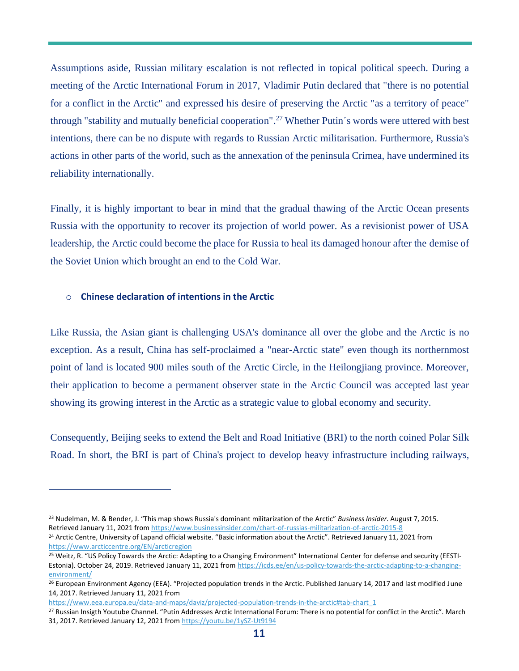Assumptions aside, Russian military escalation is not reflected in topical political speech. During a meeting of the Arctic International Forum in 2017, Vladimir Putin declared that "there is no potential for a conflict in the Arctic" and expressed his desire of preserving the Arctic "as a territory of peace" through "stability and mutually beneficial cooperation". <sup>27</sup> Whether Putin´s words were uttered with best intentions, there can be no dispute with regards to Russian Arctic militarisation. Furthermore, Russia's actions in other parts of the world, such as the annexation of the peninsula Crimea, have undermined its reliability internationally.

Finally, it is highly important to bear in mind that the gradual thawing of the Arctic Ocean presents Russia with the opportunity to recover its projection of world power. As a revisionist power of USA leadership, the Arctic could become the place for Russia to heal its damaged honour after the demise of the Soviet Union which brought an end to the Cold War.

#### o **Chinese declaration of intentions in the Arctic**

Like Russia, the Asian giant is challenging USA's dominance all over the globe and the Arctic is no exception. As a result, China has self-proclaimed a "near-Arctic state" even though its northernmost point of land is located 900 miles south of the Arctic Circle, in the Heilongjiang province. Moreover, their application to become a permanent observer state in the Arctic Council was accepted last year showing its growing interest in the Arctic as a strategic value to global economy and security.

Consequently, Beijing seeks to extend the Belt and Road Initiative (BRI) to the north coined Polar Silk Road. In short, the BRI is part of China's project to develop heavy infrastructure including railways,

<sup>23</sup> Nudelman, M. & Bender, J. "This map shows Russia's dominant militarization of the Arctic" *Business Insider*. August 7, 2015. Retrieved January 11, 2021 fro[m https://www.businessinsider.com/chart-of-russias-militarization-of-arctic-2015-8](https://www.businessinsider.com/chart-of-russias-militarization-of-arctic-2015-8)

<sup>&</sup>lt;sup>24</sup> Arctic Centre, University of Lapand official website. "Basic information about the Arctic". Retrieved January 11, 2021 from <https://www.arcticcentre.org/EN/arcticregion>

<sup>&</sup>lt;sup>25</sup> Weitz, R. "US Policy Towards the Arctic: Adapting to a Changing Environment" International Center for defense and security (EESTI-Estonia). October 24, 2019. Retrieved January 11, 2021 fro[m https://icds.ee/en/us-policy-towards-the-arctic-adapting-to-a-changing](https://icds.ee/en/us-policy-towards-the-arctic-adapting-to-a-changing-environment/)[environment/](https://icds.ee/en/us-policy-towards-the-arctic-adapting-to-a-changing-environment/)

<sup>&</sup>lt;sup>26</sup> European Environment Agency (EEA). "Projected population trends in the Arctic. Published January 14, 2017 and last modified June 14, 2017. Retrieved January 11, 2021 from

https://www.eea.europa.eu/data-and-maps/daviz/projected-population-trends-in-the-arctic#tab-chart\_1

<sup>27</sup> Russian Insigth Youtube Channel. "Putin Addresses Arctic International Forum: There is no potential for conflict in the Arctic". March 31, 2017. Retrieved January 12, 2021 fro[m https://youtu.be/1ySZ-Ut9194](https://youtu.be/1ySZ-Ut9194)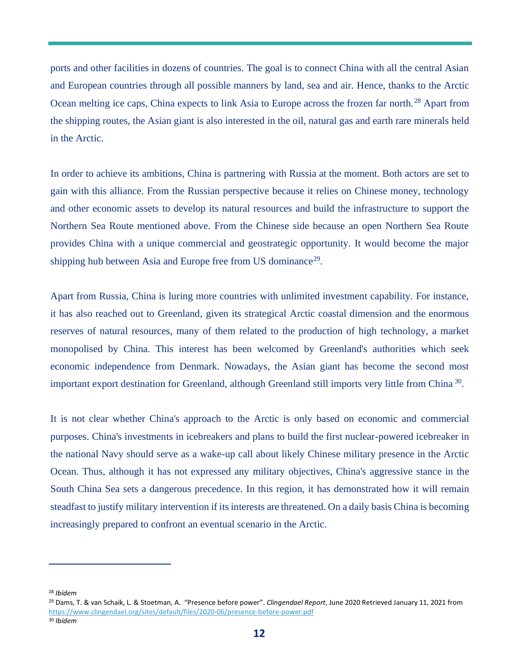ports and other facilities in dozens of countries. The goal is to connect China with all the central Asian and European countries through all possible manners by land, sea and air. Hence, thanks to the Arctic Ocean melting ice caps, China expects to link Asia to Europe across the frozen far north.<sup>28</sup> Apart from the shipping routes, the Asian giant is also interested in the oil, natural gas and earth rare minerals held in the Arctic.

In order to achieve its ambitions, China is partnering with Russia at the moment. Both actors are set to gain with this alliance. From the Russian perspective because it relies on Chinese money, technology and other economic assets to develop its natural resources and build the infrastructure to support the Northern Sea Route mentioned above. From the Chinese side because an open Northern Sea Route provides China with a unique commercial and geostrategic opportunity. It would become the major shipping hub between Asia and Europe free from US dominance<sup>29</sup>.

Apart from Russia, China is luring more countries with unlimited investment capability. For instance, it has also reached out to Greenland, given its strategical Arctic coastal dimension and the enormous reserves of natural resources, many of them related to the production of high technology, a market monopolised by China. This interest has been welcomed by Greenland's authorities which seek economic independence from Denmark. Nowadays, the Asian giant has become the second most important export destination for Greenland, although Greenland still imports very little from China<sup>30</sup>.

It is not clear whether China's approach to the Arctic is only based on economic and commercial purposes. China's investments in icebreakers and plans to build the first nuclear-powered icebreaker in the national Navy should serve as a wake-up call about likely Chinese military presence in the Arctic Ocean. Thus, although it has not expressed any military objectives, China's aggressive stance in the South China Sea sets a dangerous precedence. In this region, it has demonstrated how it will remain steadfast to justify military intervention if its interests are threatened. On a daily basis China is becoming increasingly prepared to confront an eventual scenario in the Arctic.

<sup>28</sup> *Ibídem*

<sup>29</sup> Dams, T. & van Schaik, L. & Stoetman, A. "Presence before power". *Clingendael Report*, June 2020 Retrieved January 11, 2021 from <https://www.clingendael.org/sites/default/files/2020-06/presence-before-power.pdf>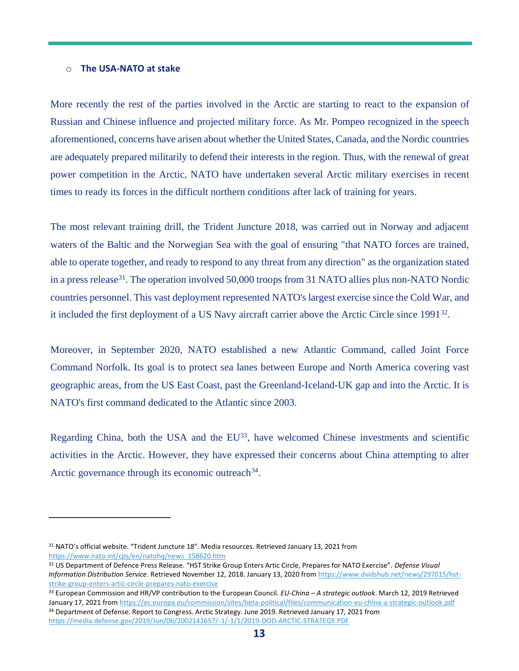#### o **The USA-NATO at stake**

More recently the rest of the parties involved in the Arctic are starting to react to the expansion of Russian and Chinese influence and projected military force. As Mr. Pompeo recognized in the speech aforementioned, concerns have arisen about whether the United States, Canada, and the Nordic countries are adequately prepared militarily to defend their interests in the region. Thus, with the renewal of great power competition in the Arctic, NATO have undertaken several Arctic military exercises in recent times to ready its forces in the difficult northern conditions after lack of training for years.

The most relevant training drill, the Trident Juncture 2018, was carried out in Norway and adjacent waters of the Baltic and the Norwegian Sea with the goal of ensuring "that NATO forces are trained, able to operate together, and ready to respond to any threat from any direction" as the organization stated in a press release<sup>31</sup>. The operation involved 50,000 troops from 31 NATO allies plus non-NATO Nordic countries personnel. This vast deployment represented NATO's largest exercise since the Cold War, and it included the first deployment of a US Navy aircraft carrier above the Arctic Circle since 1991<sup>32</sup>.

Moreover, in September 2020, NATO established a new Atlantic Command, called Joint Force Command Norfolk. Its goal is to protect sea lanes between Europe and North America covering vast geographic areas, from the US East Coast, past the Greenland-Iceland-UK gap and into the Arctic. It is NATO's first command dedicated to the Atlantic since 2003.

Regarding China, both the USA and the  $EU^{33}$ , have welcomed Chinese investments and scientific activities in the Arctic. However, they have expressed their concerns about China attempting to alter Arctic governance through its economic outreach<sup>34</sup>.

<sup>31</sup> NATO's official website. "Trident Juncture 18". Media resources. Retrieved January 13, 2021 from [https://www.nato.int/cps/en/natohq/news\\_158620.htm](https://www.nato.int/cps/en/natohq/news_158620.htm)

<sup>32</sup> US Department of Defence Press Release. "HST Strike Group Enters Artic Circle, Prepares for NATO Exercise". *Defense Visual Information Distribution Service*. Retrieved November 12, 2018. January 13, 2020 fro[m https://www.dvidshub.net/news/297015/hst](https://www.dvidshub.net/news/297015/hst-strike-group-enters-artic-circle-prepares-nato-exercise)[strike-group-enters-artic-circle-prepares-nato-exercise](https://www.dvidshub.net/news/297015/hst-strike-group-enters-artic-circle-prepares-nato-exercise)

<sup>33</sup> European Commission and HR/VP contribution to the European Council. *EU-China – A strategic outlook*. March 12, 2019 Retrieved January 17, 2021 fro[m https://ec.europa.eu/commission/sites/beta-political/files/communication-eu-china-a-strategic-outlook.pdf](https://ec.europa.eu/commission/sites/beta-political/files/communication-eu-china-a-strategic-outlook.pdf) 34 Department of Defense. Report to Congress. Arctic Strategy. June 2019. Retrieved January 17, 2021 from <https://media.defense.gov/2019/Jun/06/2002141657/-1/-1/1/2019-DOD-ARCTIC-STRATEGY.PDF>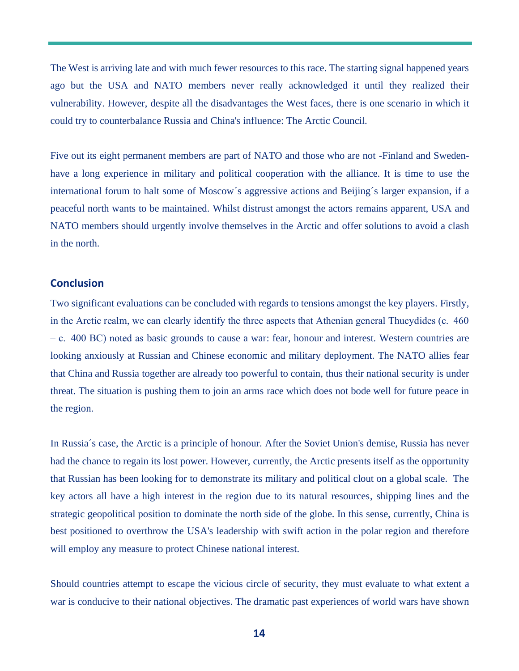The West is arriving late and with much fewer resources to this race. The starting signal happened years ago but the USA and NATO members never really acknowledged it until they realized their vulnerability. However, despite all the disadvantages the West faces, there is one scenario in which it could try to counterbalance Russia and China's influence: The Arctic Council.

Five out its eight permanent members are part of NATO and those who are not -Finland and Swedenhave a long experience in military and political cooperation with the alliance. It is time to use the international forum to halt some of Moscow´s aggressive actions and Beijing´s larger expansion, if a peaceful north wants to be maintained. Whilst distrust amongst the actors remains apparent, USA and NATO members should urgently involve themselves in the Arctic and offer solutions to avoid a clash in the north.

#### **Conclusion**

Two significant evaluations can be concluded with regards to tensions amongst the key players. Firstly, in the Arctic realm, we can clearly identify the three aspects that Athenian general Thucydides (c.  460 – c.  400 BC) noted as basic grounds to cause a war: fear, honour and interest. Western countries are looking anxiously at Russian and Chinese economic and military deployment. The NATO allies fear that China and Russia together are already too powerful to contain, thus their national security is under threat. The situation is pushing them to join an arms race which does not bode well for future peace in the region.

In Russia´s case, the Arctic is a principle of honour. After the Soviet Union's demise, Russia has never had the chance to regain its lost power. However, currently, the Arctic presents itself as the opportunity that Russian has been looking for to demonstrate its military and political clout on a global scale. The key actors all have a high interest in the region due to its natural resources, shipping lines and the strategic geopolitical position to dominate the north side of the globe. In this sense, currently, China is best positioned to overthrow the USA's leadership with swift action in the polar region and therefore will employ any measure to protect Chinese national interest.

Should countries attempt to escape the vicious circle of security, they must evaluate to what extent a war is conducive to their national objectives. The dramatic past experiences of world wars have shown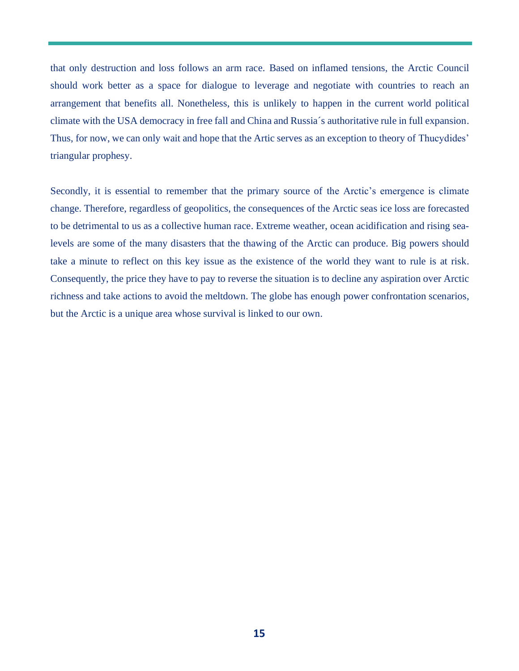that only destruction and loss follows an arm race. Based on inflamed tensions, the Arctic Council should work better as a space for dialogue to leverage and negotiate with countries to reach an arrangement that benefits all. Nonetheless, this is unlikely to happen in the current world political climate with the USA democracy in free fall and China and Russia´s authoritative rule in full expansion. Thus, for now, we can only wait and hope that the Artic serves as an exception to theory of Thucydides' triangular prophesy.

Secondly, it is essential to remember that the primary source of the Arctic's emergence is climate change. Therefore, regardless of geopolitics, the consequences of the Arctic seas ice loss are forecasted to be detrimental to us as a collective human race. Extreme weather, ocean acidification and rising sealevels are some of the many disasters that the thawing of the Arctic can produce. Big powers should take a minute to reflect on this key issue as the existence of the world they want to rule is at risk. Consequently, the price they have to pay to reverse the situation is to decline any aspiration over Arctic richness and take actions to avoid the meltdown. The globe has enough power confrontation scenarios, but the Arctic is a unique area whose survival is linked to our own.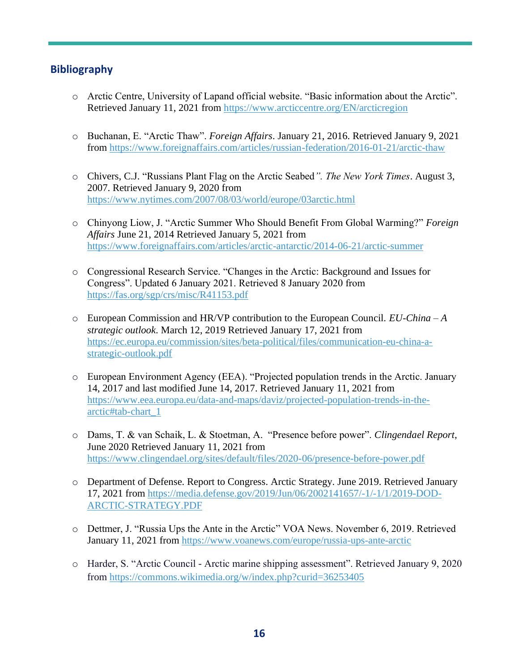### **Bibliography**

- o Arctic Centre, University of Lapand official website. "Basic information about the Arctic". Retrieved January 11, 2021 from<https://www.arcticcentre.org/EN/arcticregion>
- o Buchanan, E. "Arctic Thaw". *Foreign Affairs*. January 21, 2016. Retrieved January 9, 2021 from <https://www.foreignaffairs.com/articles/russian-federation/2016-01-21/arctic-thaw>
- o Chivers, C.J. "Russians Plant Flag on the Arctic Seabed*". The New York Times*. August 3, 2007. Retrieved January 9, 2020 from <https://www.nytimes.com/2007/08/03/world/europe/03arctic.html>
- o Chinyong Liow, J. "Arctic Summer Who Should Benefit From Global Warming?" *Foreign Affairs* June 21, 2014 Retrieved January 5, 2021 from <https://www.foreignaffairs.com/articles/arctic-antarctic/2014-06-21/arctic-summer>
- o Congressional Research Service. "Changes in the Arctic: Background and Issues for Congress". Updated 6 January 2021. Retrieved 8 January 2020 from <https://fas.org/sgp/crs/misc/R41153.pdf>
- o European Commission and HR/VP contribution to the European Council. *EU-China – A strategic outlook*. March 12, 2019 Retrieved January 17, 2021 from [https://ec.europa.eu/commission/sites/beta-political/files/communication-eu-china-a](https://ec.europa.eu/commission/sites/beta-political/files/communication-eu-china-a-strategic-outlook.pdf)[strategic-outlook.pdf](https://ec.europa.eu/commission/sites/beta-political/files/communication-eu-china-a-strategic-outlook.pdf)
- o European Environment Agency (EEA). "Projected population trends in the Arctic. January 14, 2017 and last modified June 14, 2017. Retrieved January 11, 2021 from [https://www.eea.europa.eu/data-and-maps/daviz/projected-population-trends-in-the](https://www.eea.europa.eu/data-and-maps/daviz/projected-population-trends-in-the-arctic#tab-chart_1)[arctic#tab-chart\\_1](https://www.eea.europa.eu/data-and-maps/daviz/projected-population-trends-in-the-arctic#tab-chart_1)
- o Dams, T. & van Schaik, L. & Stoetman, A. "Presence before power". *Clingendael Report*, June 2020 Retrieved January 11, 2021 from <https://www.clingendael.org/sites/default/files/2020-06/presence-before-power.pdf>
- o Department of Defense. Report to Congress. Arctic Strategy. June 2019. Retrieved January 17, 2021 from [https://media.defense.gov/2019/Jun/06/2002141657/-1/-1/1/2019-DOD-](https://media.defense.gov/2019/Jun/06/2002141657/-1/-1/1/2019-DOD-ARCTIC-STRATEGY.PDF)[ARCTIC-STRATEGY.PDF](https://media.defense.gov/2019/Jun/06/2002141657/-1/-1/1/2019-DOD-ARCTIC-STRATEGY.PDF)
- o Dettmer, J. "Russia Ups the Ante in the Arctic" VOA News. November 6, 2019. Retrieved January 11, 2021 from<https://www.voanews.com/europe/russia-ups-ante-arctic>
- o Harder, S. "Arctic Council Arctic marine shipping assessment". Retrieved January 9, 2020 from <https://commons.wikimedia.org/w/index.php?curid=36253405>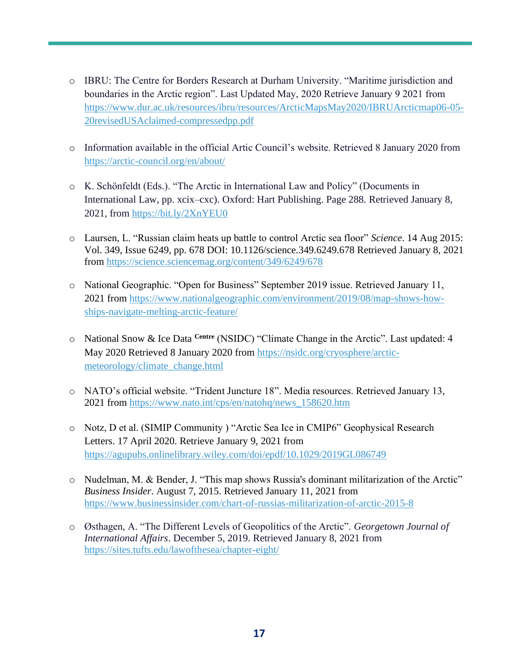- o IBRU: The Centre for Borders Research at Durham University. "Maritime jurisdiction and boundaries in the Arctic region". Last Updated May, 2020 Retrieve January 9 2021 from [https://www.dur.ac.uk/resources/ibru/resources/ArcticMapsMay2020/IBRUArcticmap06-05-](https://www.dur.ac.uk/resources/ibru/resources/ArcticMapsMay2020/IBRUArcticmap06-05-20revisedUSAclaimed-compressedpp.pdf) [20revisedUSAclaimed-compressedpp.pdf](https://www.dur.ac.uk/resources/ibru/resources/ArcticMapsMay2020/IBRUArcticmap06-05-20revisedUSAclaimed-compressedpp.pdf)
- o Information available in the official Artic Council's website. Retrieved 8 January 2020 from <https://arctic-council.org/en/about/>
- o K. Schönfeldt (Eds.). "The Arctic in International Law and Policy" (Documents in International Law, pp. xcix–cxc). Oxford: Hart Publishing. Page 288. Retrieved January 8, 2021, from<https://bit.ly/2XnYEU0>
- o Laursen, L. "Russian claim heats up battle to control Arctic sea floor" *Science*. 14 Aug 2015: Vol. 349, Issue 6249, pp. 678 DOI: 10.1126/science.349.6249.678 Retrieved January 8, 2021 from<https://science.sciencemag.org/content/349/6249/678>
- o National Geographic. "Open for Business" September 2019 issue. Retrieved January 11, 2021 from [https://www.nationalgeographic.com/environment/2019/08/map-shows-how](https://www.nationalgeographic.com/environment/2019/08/map-shows-how-ships-navigate-melting-arctic-feature/)[ships-navigate-melting-arctic-feature/](https://www.nationalgeographic.com/environment/2019/08/map-shows-how-ships-navigate-melting-arctic-feature/)
- o National Snow & Ice Data **Centre** (NSIDC) "Climate Change in the Arctic". Last updated: 4 May 2020 Retrieved 8 January 2020 from [https://nsidc.org/cryosphere/arctic](https://nsidc.org/cryosphere/arctic-meteorology/climate_change.html)[meteorology/climate\\_change.html](https://nsidc.org/cryosphere/arctic-meteorology/climate_change.html)
- o NATO's official website. "Trident Juncture 18". Media resources. Retrieved January 13, 2021 from [https://www.nato.int/cps/en/natohq/news\\_158620.htm](https://www.nato.int/cps/en/natohq/news_158620.htm)
- o Notz, D et al. (SIMIP Community ) "Arctic Sea Ice in CMIP6" Geophysical Research Letters. 17 April 2020. Retrieve January 9, 2021 from <https://agupubs.onlinelibrary.wiley.com/doi/epdf/10.1029/2019GL086749>
- o Nudelman, M. & Bender, J. "This map shows Russia's dominant militarization of the Arctic" *Business Insider*. August 7, 2015. Retrieved January 11, 2021 from <https://www.businessinsider.com/chart-of-russias-militarization-of-arctic-2015-8>
- o Østhagen, A. "The Different Levels of Geopolitics of the Arctic". *Georgetown Journal of International Affairs*. December 5, 2019. Retrieved January 8, 2021 from <https://sites.tufts.edu/lawofthesea/chapter-eight/>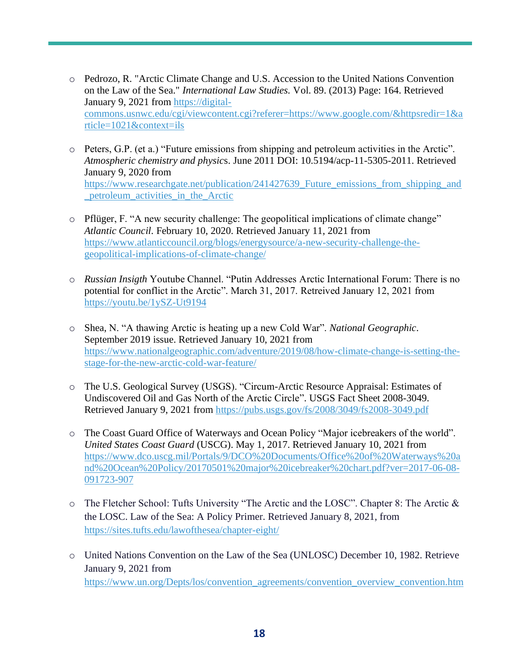- o Pedrozo, R. "Arctic Climate Change and U.S. Accession to the United Nations Convention on the Law of the Sea." *International Law Studies.* Vol. 89. (2013) Page: 164. Retrieved January 9, 2021 from [https://digital](https://digital-commons.usnwc.edu/cgi/viewcontent.cgi?referer=https://www.google.com/&httpsredir=1&article=1021&context=ils)[commons.usnwc.edu/cgi/viewcontent.cgi?referer=https://www.google.com/&httpsredir=1&a](https://digital-commons.usnwc.edu/cgi/viewcontent.cgi?referer=https://www.google.com/&httpsredir=1&article=1021&context=ils) [rticle=1021&context=ils](https://digital-commons.usnwc.edu/cgi/viewcontent.cgi?referer=https://www.google.com/&httpsredir=1&article=1021&context=ils)
- o Peters, G.P. (et a.) "Future emissions from shipping and petroleum activities in the Arctic". *Atmospheric chemistry and physic*s. June 2011 DOI: 10.5194/acp-11-5305-2011. Retrieved January 9, 2020 from [https://www.researchgate.net/publication/241427639\\_Future\\_emissions\\_from\\_shipping\\_and](https://www.researchgate.net/publication/241427639_Future_emissions_from_shipping_and_petroleum_activities_in_the_Arctic) [\\_petroleum\\_activities\\_in\\_the\\_Arctic](https://www.researchgate.net/publication/241427639_Future_emissions_from_shipping_and_petroleum_activities_in_the_Arctic)
- o Pflüger, F. "A new security challenge: The geopolitical implications of climate change" *Atlantic Council*. February 10, 2020. Retrieved January 11, 2021 from [https://www.atlanticcouncil.org/blogs/energysource/a-new-security-challenge-the](https://www.atlanticcouncil.org/blogs/energysource/a-new-security-challenge-the-geopolitical-implications-of-climate-change/)[geopolitical-implications-of-climate-change/](https://www.atlanticcouncil.org/blogs/energysource/a-new-security-challenge-the-geopolitical-implications-of-climate-change/)
- o *Russian Insigth* Youtube Channel. "Putin Addresses Arctic International Forum: There is no potential for conflict in the Arctic". March 31, 2017. Retreived January 12, 2021 from <https://youtu.be/1ySZ-Ut9194>
- o Shea, N. "A thawing Arctic is heating up a new Cold War". *National Geographic*. September 2019 issue. Retrieved January 10, 2021 from [https://www.nationalgeographic.com/adventure/2019/08/how-climate-change-is-setting-the](https://www.nationalgeographic.com/adventure/2019/08/how-climate-change-is-setting-the-stage-for-the-new-arctic-cold-war-feature/)[stage-for-the-new-arctic-cold-war-feature/](https://www.nationalgeographic.com/adventure/2019/08/how-climate-change-is-setting-the-stage-for-the-new-arctic-cold-war-feature/)
- o The U.S. Geological Survey (USGS). "Circum-Arctic Resource Appraisal: Estimates of Undiscovered Oil and Gas North of the Arctic Circle". USGS Fact Sheet 2008-3049. Retrieved January 9, 2021 from<https://pubs.usgs.gov/fs/2008/3049/fs2008-3049.pdf>
- o The Coast Guard Office of Waterways and Ocean Policy "Major icebreakers of the world". *United States Coast Guard* (USCG). May 1, 2017. Retrieved January 10, 2021 from [https://www.dco.uscg.mil/Portals/9/DCO%20Documents/Office%20of%20Waterways%20a](https://www.dco.uscg.mil/Portals/9/DCO%20Documents/Office%20of%20Waterways%20and%20Ocean%20Policy/20170501%20major%20icebreaker%20chart.pdf?ver=2017-06-08-091723-907) [nd%20Ocean%20Policy/20170501%20major%20icebreaker%20chart.pdf?ver=2017-06-08-](https://www.dco.uscg.mil/Portals/9/DCO%20Documents/Office%20of%20Waterways%20and%20Ocean%20Policy/20170501%20major%20icebreaker%20chart.pdf?ver=2017-06-08-091723-907) [091723-907](https://www.dco.uscg.mil/Portals/9/DCO%20Documents/Office%20of%20Waterways%20and%20Ocean%20Policy/20170501%20major%20icebreaker%20chart.pdf?ver=2017-06-08-091723-907)
- o The Fletcher School: Tufts University "The Arctic and the LOSC". Chapter 8: The Arctic & the LOSC. Law of the Sea: A Policy Primer. Retrieved January 8, 2021, from <https://sites.tufts.edu/lawofthesea/chapter-eight/>
- o United Nations Convention on the Law of the Sea (UNLOSC) December 10, 1982. Retrieve January 9, 2021 from [https://www.un.org/Depts/los/convention\\_agreements/convention\\_overview\\_convention.htm](https://www.un.org/Depts/los/convention_agreements/convention_overview_convention.htm)